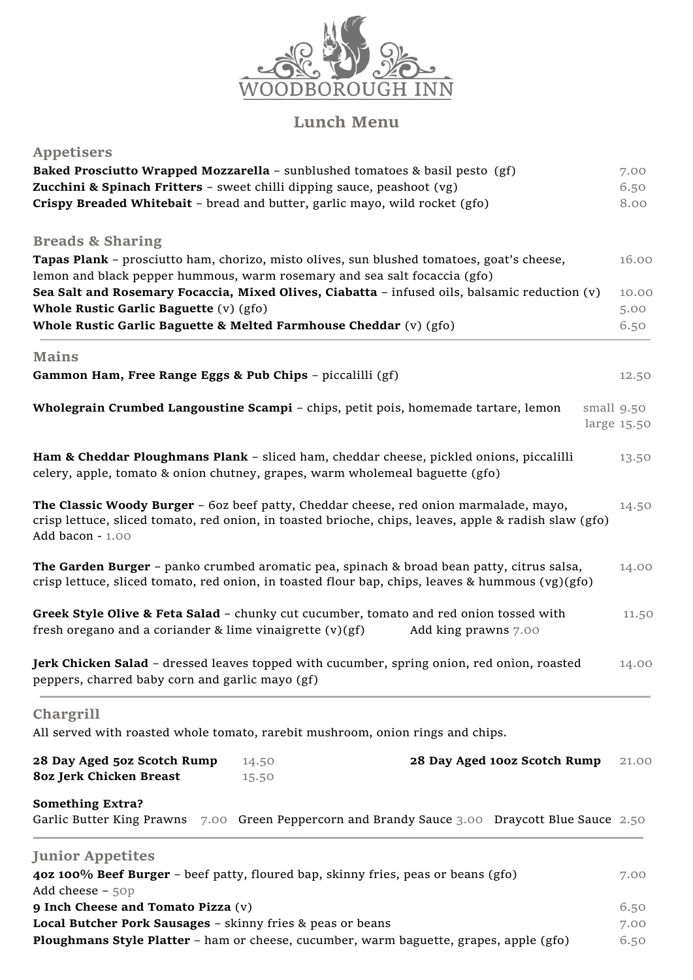

# **Lunch Menu**

| <b>Appetisers</b>                                                       |                                                                                                                                                                                                |                              |             |
|-------------------------------------------------------------------------|------------------------------------------------------------------------------------------------------------------------------------------------------------------------------------------------|------------------------------|-------------|
|                                                                         | Baked Prosciutto Wrapped Mozzarella - sunblushed tomatoes & basil pesto (gf)                                                                                                                   |                              | 7.00        |
| Zucchini & Spinach Fritters - sweet chilli dipping sauce, peashoot (vg) |                                                                                                                                                                                                |                              | 6.50        |
|                                                                         | Crispy Breaded Whitebait - bread and butter, garlic mayo, wild rocket (gfo)                                                                                                                    |                              | 8.00        |
| <b>Breads &amp; Sharing</b>                                             |                                                                                                                                                                                                |                              |             |
|                                                                         | Tapas Plank - prosciutto ham, chorizo, misto olives, sun blushed tomatoes, goat's cheese,                                                                                                      |                              | 16.00       |
|                                                                         | lemon and black pepper hummous, warm rosemary and sea salt focaccia (gfo)                                                                                                                      |                              |             |
|                                                                         | Sea Salt and Rosemary Focaccia, Mixed Olives, Ciabatta - infused oils, balsamic reduction (v)                                                                                                  |                              | 10.00       |
| Whole Rustic Garlic Baguette (v) (gfo)                                  |                                                                                                                                                                                                |                              | 5.00        |
|                                                                         | Whole Rustic Garlic Baguette & Melted Farmhouse Cheddar (v) (gfo)                                                                                                                              |                              | 6.50        |
| <b>Mains</b>                                                            |                                                                                                                                                                                                |                              |             |
| Gammon Ham, Free Range Eggs & Pub Chips - piccalilli (gf)               |                                                                                                                                                                                                |                              | 12.50       |
|                                                                         | Wholegrain Crumbed Langoustine Scampi - chips, petit pois, homemade tartare, lemon                                                                                                             |                              | small 9.50  |
|                                                                         |                                                                                                                                                                                                |                              | large 15.50 |
|                                                                         | Ham & Cheddar Ploughmans Plank - sliced ham, cheddar cheese, pickled onions, piccalilli<br>celery, apple, tomato & onion chutney, grapes, warm wholemeal baguette (gfo)                        |                              | 13.50       |
| Add bacon - 1.00                                                        | The Classic Woody Burger - 60z beef patty, Cheddar cheese, red onion marmalade, mayo,<br>crisp lettuce, sliced tomato, red onion, in toasted brioche, chips, leaves, apple & radish slaw (gfo) |                              | 14.50       |
|                                                                         | The Garden Burger - panko crumbed aromatic pea, spinach & broad bean patty, citrus salsa,<br>crisp lettuce, sliced tomato, red onion, in toasted flour bap, chips, leaves & hummous (vg)(gfo)  |                              | 14.00       |
| fresh oregano and a coriander & lime vinaigrette (v)(gf)                | Greek Style Olive & Feta Salad - chunky cut cucumber, tomato and red onion tossed with<br>Add king prawns 7.00                                                                                 |                              | 11.50       |
| peppers, charred baby corn and garlic mayo (gf)                         | Jerk Chicken Salad - dressed leaves topped with cucumber, spring onion, red onion, roasted                                                                                                     |                              | 14.00       |
| Chargrill                                                               |                                                                                                                                                                                                |                              |             |
|                                                                         | All served with roasted whole tomato, rarebit mushroom, onion rings and chips.                                                                                                                 |                              |             |
| 28 Day Aged 50z Scotch Rump<br>8oz Jerk Chicken Breast                  | 14.50<br>15.50                                                                                                                                                                                 | 28 Day Aged 100z Scotch Rump | 21.00       |
| <b>Something Extra?</b>                                                 |                                                                                                                                                                                                |                              |             |
|                                                                         | Garlic Butter King Prawns 7.00 Green Peppercorn and Brandy Sauce 3.00 Draycott Blue Sauce 2.50                                                                                                 |                              |             |
| <b>Junior Appetites</b>                                                 |                                                                                                                                                                                                |                              |             |
|                                                                         | 40z 100% Beef Burger - beef patty, floured bap, skinny fries, peas or beans (gfo)                                                                                                              |                              | 7.00        |
| Add cheese $-50p$<br>9 Inch Cheese and Tomato Pizza (v)                 |                                                                                                                                                                                                |                              | 6.50        |
| Local Butcher Pork Sausages - skinny fries & peas or beans              |                                                                                                                                                                                                |                              | 7.00        |
|                                                                         | Ploughmans Style Platter - ham or cheese, cucumber, warm baguette, grapes, apple (gfo)                                                                                                         |                              | 6.50        |
|                                                                         |                                                                                                                                                                                                |                              |             |